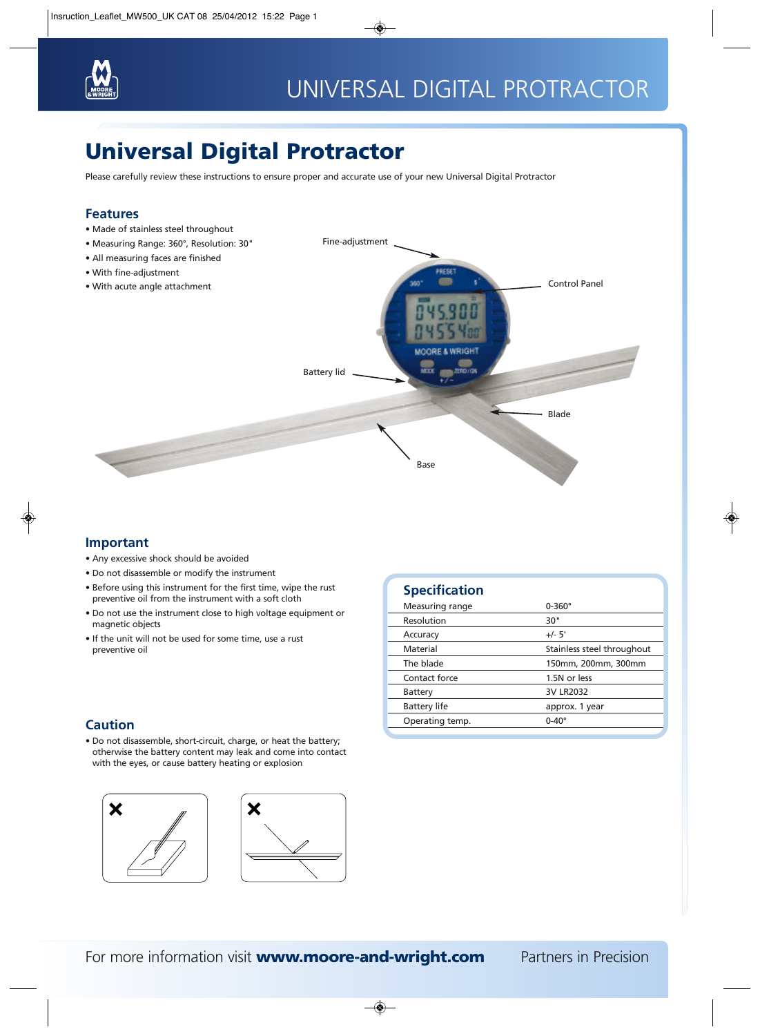

# Universal Digital Protractor

Please carefully review these instructions to ensure proper and accurate use of your new Universal Digital Protractor

### **Features**

- Made of stainless steel throughout
- Measuring Range: 360°, Resolution: 30"
- 
- 
- 



Fine-adjustment

### **Important**

- Any excessive shock should be avoided
- Do not disassemble or modify the instrument
- Before using this instrument for the first time, wipe the rust preventive oil from the instrument with a soft cloth
- Do not use the instrument close to high voltage equipment or magnetic objects
- If the unit will not be used for some time, use a rust preventive oil

### **Caution**

• Do not disassemble, short-circuit, charge, or heat the battery; otherwise the battery content may leak and come into contact with the eyes, or cause battery heating or explosion





| <b>Specification</b> |                            |
|----------------------|----------------------------|
| Measuring range      | $0 - 360^\circ$            |
| Resolution           | 30"                        |
| Accuracy             | $+/- 5'$                   |
| Material             | Stainless steel throughout |
| The blade            | 150mm, 200mm, 300mm        |

Contact force 1.5N or less Battery 3V LR2032 Battery life approx. 1 year

Operating temp. 0-40°